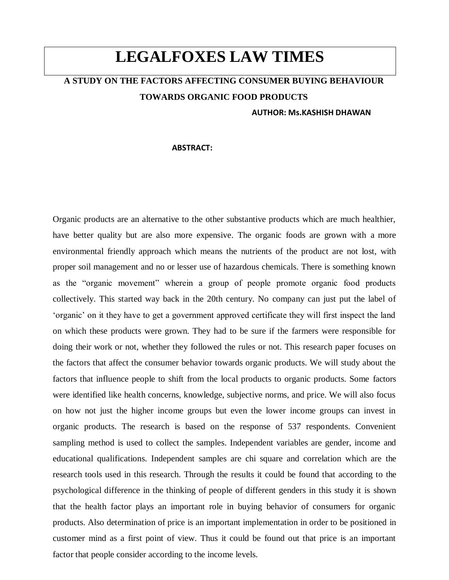# **LEGALFOXES LAW TIMES**

# **A STUDY ON THE FACTORS AFFECTING CONSUMER BUYING BEHAVIOUR TOWARDS ORGANIC FOOD PRODUCTS**

#### **AUTHOR: Ms.KASHISH DHAWAN**

#### **ABSTRACT:**

Organic products are an alternative to the other substantive products which are much healthier, have better quality but are also more expensive. The organic foods are grown with a more environmental friendly approach which means the nutrients of the product are not lost, with proper soil management and no or lesser use of hazardous chemicals. There is something known as the "organic movement" wherein a group of people promote organic food products collectively. This started way back in the 20th century. No company can just put the label of 'organic' on it they have to get a government approved certificate they will first inspect the land on which these products were grown. They had to be sure if the farmers were responsible for doing their work or not, whether they followed the rules or not. This research paper focuses on the factors that affect the consumer behavior towards organic products. We will study about the factors that influence people to shift from the local products to organic products. Some factors were identified like health concerns, knowledge, subjective norms, and price. We will also focus on how not just the higher income groups but even the lower income groups can invest in organic products. The research is based on the response of 537 respondents. Convenient sampling method is used to collect the samples. Independent variables are gender, income and educational qualifications. Independent samples are chi square and correlation which are the research tools used in this research. Through the results it could be found that according to the psychological difference in the thinking of people of different genders in this study it is shown that the health factor plays an important role in buying behavior of consumers for organic products. Also determination of price is an important implementation in order to be positioned in customer mind as a first point of view. Thus it could be found out that price is an important factor that people consider according to the income levels.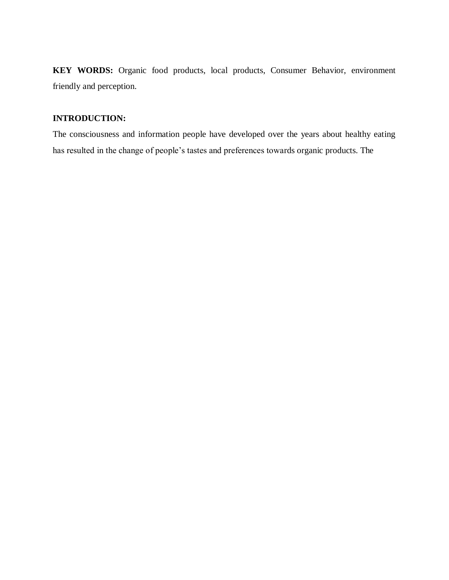**KEY WORDS:** Organic food products, local products, Consumer Behavior, environment friendly and perception.

# **INTRODUCTION:**

The consciousness and information people have developed over the years about healthy eating has resulted in the change of people's tastes and preferences towards organic products. The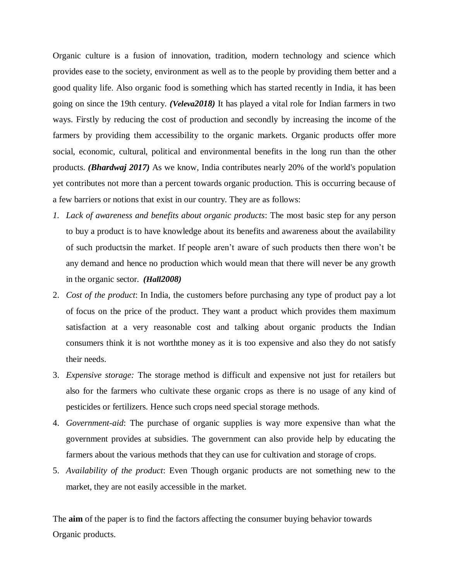Organic culture is a fusion of innovation, tradition, modern technology and science which provides ease to the society, environment as well as to the people by providing them better and a good quality life. Also organic food is something which has started recently in India, it has been going on since the 19th century. *([Veleva](http://paperpile.com/b/FXrilo/IITu)2018)* It has played a vital role for Indian farmers in two ways. Firstly by reducing the cost of production and secondly by increasing the income of the farmers by providing them accessibility to the organic markets. Organic products offer more social, economic, cultural, political and environmental benefits in the long run than the other products. *[\(Bhardwaj](https://paperpile.com/c/FXrilo/WmqU) 2017)* As we know, India contributes nearly 20% of the world's population yet contributes not more than a percent towards organic production. This is occurring because of a few barriers or notions that exist in our country. They are as follows:

- *1. Lack of awareness and benefits about organic products*: The most basic step for any person to buy a product is to have knowledge about its benefits and awareness about the availability of such productsin the market. If people aren't aware of such products then there won't be any demand and hence no production which would mean that there will never be any growth in the organic sector. *([Hall](http://paperpile.com/b/FXrilo/NGhd)2008)*
- 2. *Cost of the product*: In India, the customers before purchasing any type of product pay a lot of focus on the price of the product. They want a product which provides them maximum satisfaction at a very reasonable cost and talking about organic products the Indian consumers think it is not worththe money as it is too expensive and also they do not satisfy their needs.
- 3. *Expensive storage:* The storage method is difficult and expensive not just for retailers but also for the farmers who cultivate these organic crops as there is no usage of any kind of pesticides or fertilizers. Hence such crops need special storage methods.
- 4. *Government-aid*: The purchase of organic supplies is way more expensive than what the government provides at subsidies. The government can also provide help by educating the farmers about the various methods that they can use for cultivation and storage of crops.
- 5. *Availability of the product*: Even Though organic products are not something new to the market, they are not easily accessible in the market.

The **aim** of the paper is to find the factors affecting the consumer buying behavior towards Organic products.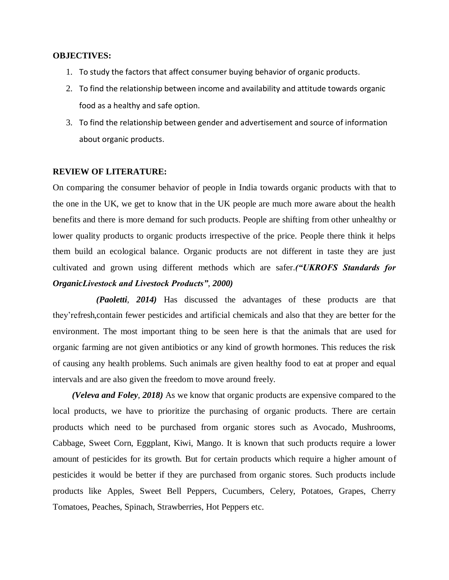#### **OBJECTIVES:**

- 1. To study the factors that affect consumer buying behavior of organic products.
- 2. To find the relationship between income and availability and attitude towards organic food as a healthy and safe option.
- 3. To find the relationship between gender and advertisement and source of information about organic products.

#### **REVIEW OF LITERATURE:**

On comparing the consumer behavior of people in India towards organic products with that to the one in the UK, we get to know that in the UK people are much more aware about the health benefits and there is more demand for such products. People are shifting from other unhealthy or lower quality products to organic products irrespective of the price. People there think it helps them build an ecological balance. Organic products are not different in taste they are just cultivated and grown using different methods which are safer.*[\("UKROFS Standards for](https://paperpile.com/c/FXrilo/XA2q)  [OrganicLivestock and Livestock Products"](https://paperpile.com/c/FXrilo/XA2q)*, *2000)*

*[\(Paoletti](https://paperpile.com/c/FXrilo/OSyK)*, *2014)* Has discussed the advantages of these products are that they'refresh,contain fewer pesticides and artificial chemicals and also that they are better for the environment. The most important thing to be seen here is that the animals that are used for organic farming are not given antibiotics or any kind of growth hormones. This reduces the risk of causing any health problems. Such animals are given healthy food to eat at proper and equal intervals and are also given the freedom to move around freely.

*[\(Veleva and Foley](https://paperpile.com/c/FXrilo/IITu)*, *2018)* As we know that organic products are expensive compared to the local products, we have to prioritize the purchasing of organic products. There are certain products which need to be purchased from organic stores such as Avocado, Mushrooms, Cabbage, Sweet Corn, Eggplant, Kiwi, Mango. It is known that such products require a lower amount of pesticides for its growth. But for certain products which require a higher amount of pesticides it would be better if they are purchased from organic stores. Such products include products like Apples, Sweet Bell Peppers, Cucumbers, Celery, Potatoes, Grapes, Cherry Tomatoes, Peaches, Spinach, Strawberries, Hot Peppers etc.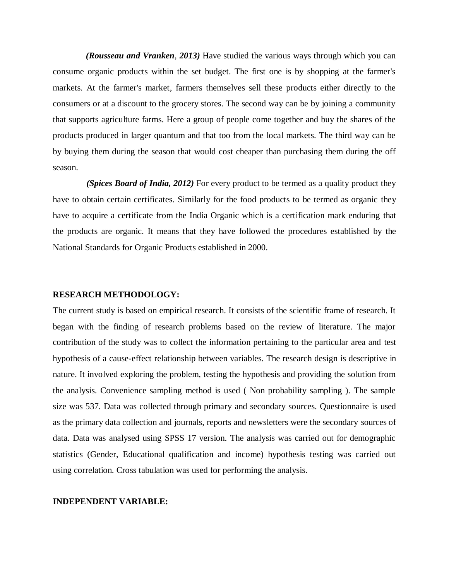*[\(Rousseau and Vranken](https://paperpile.com/c/FXrilo/ZDnQ)*, *2013)* Have studied the various ways through which you can consume organic products within the set budget. The first one is by shopping at the farmer's markets. At the farmer's market, farmers themselves sell these products either directly to the consumers or at a discount to the grocery stores. The second way can be by joining a community that supports agriculture farms. Here a group of people come together and buy the shares of the products produced in larger quantum and that too from the local markets. The third way can be by buying them during the season that would cost cheaper than purchasing them during the off season.

*(Spices Board of India, 2012)* For every product to be termed as a quality product they have to obtain certain certificates. Similarly for the food products to be termed as organic they have to acquire a certificate from the India Organic which is a certification mark enduring that the products are organic. It means that they have followed the procedures established by the National Standards for Organic Products established in 2000.

#### **RESEARCH METHODOLOGY:**

The current study is based on empirical research. It consists of the scientific frame of research. It began with the finding of research problems based on the review of literature. The major contribution of the study was to collect the information pertaining to the particular area and test hypothesis of a cause-effect relationship between variables. The research design is descriptive in nature. It involved exploring the problem, testing the hypothesis and providing the solution from the analysis. Convenience sampling method is used ( Non probability sampling ). The sample size was 537. Data was collected through primary and secondary sources. Questionnaire is used as the primary data collection and journals, reports and newsletters were the secondary sources of data. Data was analysed using SPSS 17 version. The analysis was carried out for demographic statistics (Gender, Educational qualification and income) hypothesis testing was carried out using correlation. Cross tabulation was used for performing the analysis.

#### **INDEPENDENT VARIABLE:**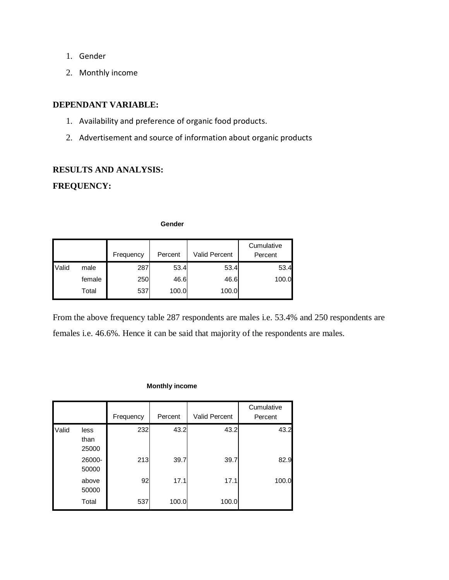- 1. Gender
- 2. Monthly income

# **DEPENDANT VARIABLE:**

- 1. Availability and preference of organic food products.
- 2. Advertisement and source of information about organic products

# **RESULTS AND ANALYSIS:**

# **FREQUENCY:**

**Gender**

|       |        | Frequency | Percent | <b>Valid Percent</b> | Cumulative<br>Percent |
|-------|--------|-----------|---------|----------------------|-----------------------|
| Valid | male   | 287       | 53.4    | 53.4                 | 53.4                  |
|       | female | 250       | 46.6    | 46.6                 | 100.0                 |
|       | Total  | 537       | 100.0   | 100.0                |                       |

From the above frequency table 287 respondents are males i.e. 53.4% and 250 respondents are females i.e. 46.6%. Hence it can be said that majority of the respondents are males.

#### **Monthly income**

|       |                       | Frequency | Percent | Valid Percent | Cumulative<br>Percent |
|-------|-----------------------|-----------|---------|---------------|-----------------------|
| Valid | less<br>than<br>25000 | 232       | 43.2    | 43.2          | 43.2                  |
|       | 26000-<br>50000       | 213       | 39.7    | 39.7          | 82.9                  |
|       | above<br>50000        | 92        | 17.1    | 17.1          | 100.0                 |
|       | Total                 | 537       | 100.0   | 100.0         |                       |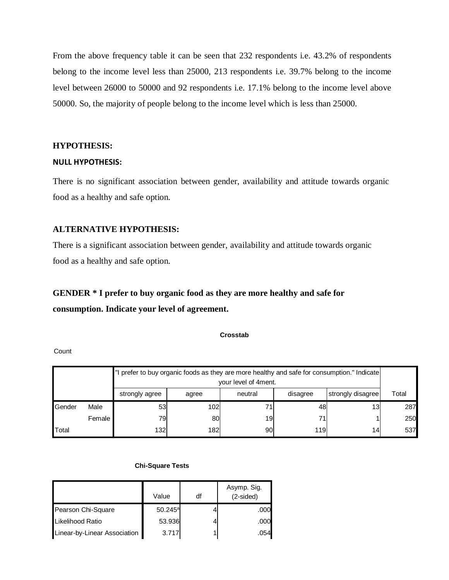From the above frequency table it can be seen that 232 respondents i.e. 43.2% of respondents belong to the income level less than 25000, 213 respondents i.e. 39.7% belong to the income level between 26000 to 50000 and 92 respondents i.e. 17.1% belong to the income level above 50000. So, the majority of people belong to the income level which is less than 25000.

#### **HYPOTHESIS:**

#### **NULL HYPOTHESIS:**

There is no significant association between gender, availability and attitude towards organic food as a healthy and safe option.

### **ALTERNATIVE HYPOTHESIS:**

There is a significant association between gender, availability and attitude towards organic food as a healthy and safe option.

# **GENDER \* I prefer to buy organic food as they are more healthy and safe for consumption. Indicate your level of agreement.**

**Crosstab**

**Count** 

|        |                                                                     | I prefer to buy organic foods as they are more healthy and safe for consumption." Indicate<br>your level of 4ment. |     |    |       |     |     |
|--------|---------------------------------------------------------------------|--------------------------------------------------------------------------------------------------------------------|-----|----|-------|-----|-----|
|        | strongly disagree<br>neutral<br>disagree<br>strongly agree<br>agree |                                                                                                                    |     |    | Total |     |     |
| Gender | Male                                                                | 53                                                                                                                 | 102 |    | 48    | 13  | 287 |
|        | Female                                                              | 79l                                                                                                                | 80  | 19 | 71    |     | 250 |
| Total  | 132<br>182<br>90l<br>119<br>14 <sub>1</sub>                         |                                                                                                                    |     |    |       | 537 |     |

#### **Chi-Square Tests**

|                              | Value            | df | Asymp. Sig.<br>$(2-sided)$ |
|------------------------------|------------------|----|----------------------------|
| Pearson Chi-Square           | $50.245^{\circ}$ |    | .000                       |
| Likelihood Ratio             | 53.936           |    | .000                       |
| Linear-by-Linear Association | 3.717            |    | .054                       |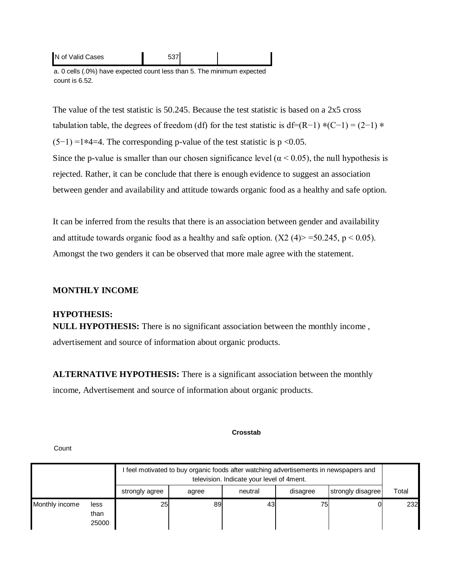| N of Valid Cases |  |  |
|------------------|--|--|
|                  |  |  |

a. 0 cells (.0%) have expected count less than 5. The minimum expected count is 6.52.

The value of the test statistic is 50.245. Because the test statistic is based on a 2x5 cross tabulation table, the degrees of freedom (df) for the test statistic is df=(R−1)  $*(C-1) = (2-1) *$  $(5-1) = 1*4=4$ . The corresponding p-value of the test statistic is p <0.05. Since the p-value is smaller than our chosen significance level ( $\alpha$  < 0.05), the null hypothesis is rejected. Rather, it can be conclude that there is enough evidence to suggest an association between gender and availability and attitude towards organic food as a healthy and safe option.

It can be inferred from the results that there is an association between gender and availability and attitude towards organic food as a healthy and safe option. ( $X2 \text{ (4)} > 50.245$ , p < 0.05). Amongst the two genders it can be observed that more male agree with the statement.

### **MONTHLY INCOME**

#### **HYPOTHESIS:**

**NULL HYPOTHESIS:** There is no significant association between the monthly income , advertisement and source of information about organic products.

**ALTERNATIVE HYPOTHESIS:** There is a significant association between the monthly income, Advertisement and source of information about organic products.

#### **Crosstab**

|                |                       |                | I feel motivated to buy organic foods after watching advertisements in newspapers and<br>television. Indicate your level of 4 ment. |    |    |  |       |
|----------------|-----------------------|----------------|-------------------------------------------------------------------------------------------------------------------------------------|----|----|--|-------|
|                |                       | strongly agree | strongly disagree<br>neutral<br>disagree<br>agree                                                                                   |    |    |  | Total |
| Monthly income | less<br>than<br>25000 | 25             | 89                                                                                                                                  | 43 | 75 |  | 232   |

**Count**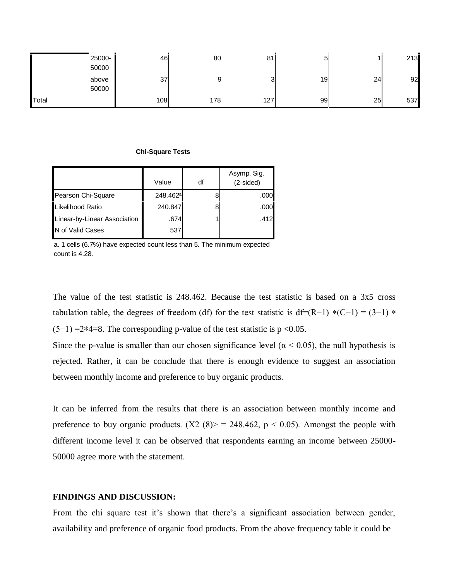| 25000-<br>50000 | 46  | 80  | 81     | 5  |    | 213 |
|-----------------|-----|-----|--------|----|----|-----|
| above<br>50000  | 37  | 9   | ◠<br>د | 19 | 24 | 92  |
| Total           | 108 | 178 | 127    | 99 | 25 | 537 |

#### **Chi-Square Tests**

|                              | Value                | df | Asymp. Sig.<br>(2-sided) |
|------------------------------|----------------------|----|--------------------------|
| Pearson Chi-Square           | 248.462 <sup>a</sup> |    | .000                     |
| Likelihood Ratio             | 240.847              |    | .000                     |
| Linear-by-Linear Association | .674                 |    | .412                     |
| N of Valid Cases             | 537                  |    |                          |

a. 1 cells (6.7%) have expected count less than 5. The minimum expected count is 4.28.

The value of the test statistic is 248.462. Because the test statistic is based on a 3x5 cross tabulation table, the degrees of freedom (df) for the test statistic is df=(R−1) \*(C−1) = (3−1) \*  $(5-1)$  =2\*4=8. The corresponding p-value of the test statistic is p <0.05.

Since the p-value is smaller than our chosen significance level ( $\alpha$  < 0.05), the null hypothesis is rejected. Rather, it can be conclude that there is enough evidence to suggest an association between monthly income and preference to buy organic products.

It can be inferred from the results that there is an association between monthly income and preference to buy organic products. (X2 (8) > = 248.462, p < 0.05). Amongst the people with different income level it can be observed that respondents earning an income between 25000- 50000 agree more with the statement.

# **FINDINGS AND DISCUSSION:**

From the chi square test it's shown that there's a significant association between gender, availability and preference of organic food products. From the above frequency table it could be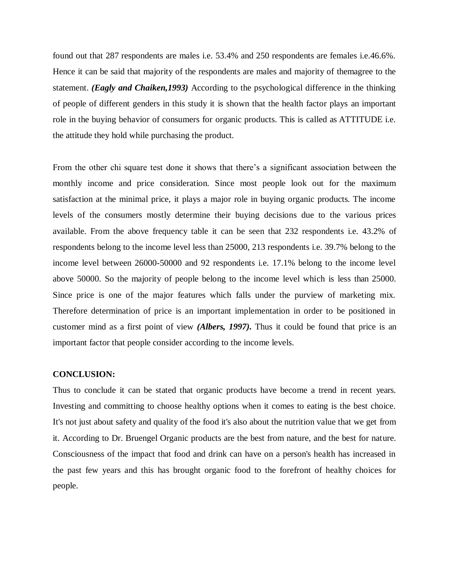found out that 287 respondents are males i.e. 53.4% and 250 respondents are females i.e.46.6%. Hence it can be said that majority of the respondents are males and majority of themagree to the statement. *(Eagly and Chaiken,1993)* According to the psychological difference in the thinking of people of different genders in this study it is shown that the health factor plays an important role in the buying behavior of consumers for organic products. This is called as ATTITUDE i.e. the attitude they hold while purchasing the product.

From the other chi square test done it shows that there's a significant association between the monthly income and price consideration. Since most people look out for the maximum satisfaction at the minimal price, it plays a major role in buying organic products. The income levels of the consumers mostly determine their buying decisions due to the various prices available. From the above frequency table it can be seen that 232 respondents i.e. 43.2% of respondents belong to the income level less than 25000, 213 respondents i.e. 39.7% belong to the income level between 26000-50000 and 92 respondents i.e. 17.1% belong to the income level above 50000. So the majority of people belong to the income level which is less than 25000. Since price is one of the major features which falls under the purview of marketing mix. Therefore determination of price is an important implementation in order to be positioned in customer mind as a first point of view *(Albers, 1997).* Thus it could be found that price is an important factor that people consider according to the income levels.

#### **CONCLUSION:**

Thus to conclude it can be stated that organic products have become a trend in recent years. Investing and committing to choose healthy options when it comes to eating is the best choice. It's not just about safety and quality of the food it's also about the nutrition value that we get from it. According to Dr. Bruengel Organic products are the best from nature, and the best for nature. Consciousness of the impact that food and drink can have on a person's health has increased in the past few years and this has brought organic food to the forefront of healthy choices for people.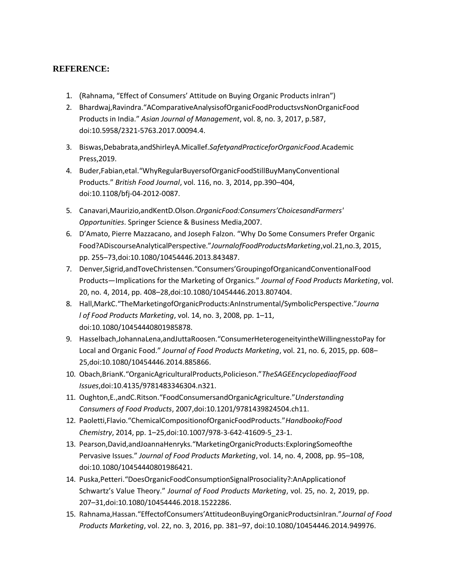# **REFERENCE:**

- 1. [\(](https://paperpile.com/c/FXrilo/gNaX)[Rahnama, "Effect of Consumers' Attitude on Buying Organic Products inIran"\)](https://paperpile.com/c/FXrilo/gNaX)
- 2. [Bhardwaj,Ravindra."AComparativeAnalysisofOrgani](http://paperpile.com/b/FXrilo/WmqU)cFoodProductsvsNonOrganicFoo[d](http://paperpile.com/b/FXrilo/WmqU) [Products in India."](http://paperpile.com/b/FXrilo/WmqU) *[Asian Journal of Management](http://paperpile.com/b/FXrilo/WmqU)*[, vol. 8, no. 3, 2017, p.587,](http://paperpile.com/b/FXrilo/WmqU) [doi:10.5958/2321-5763.2017.00094.4.](http://paperpile.com/b/FXrilo/WmqU)
- 3. [Biswas,Debabrata,andShirleyA.Micallef.](http://paperpile.com/b/FXrilo/mWDE)*[SafetyandPracticeforOrganicFood](http://paperpile.com/b/FXrilo/mWDE)*[.Academic](http://paperpile.com/b/FXrilo/mWDE) [Press,2019.](http://paperpile.com/b/FXrilo/mWDE)
- 4. [Buder,Fabian,etal."WhyRegularBuyersofOrganicFoodStillBuyManyConventional](http://paperpile.com/b/FXrilo/Gfm8) [Products."](http://paperpile.com/b/FXrilo/Gfm8) *[British Food Journal](http://paperpile.com/b/FXrilo/Gfm8)*[, vol. 116, no. 3, 2014, pp.390](http://paperpile.com/b/FXrilo/Gfm8)–404, [doi:10.1108/bfj-04-2012-0087.](http://paperpile.com/b/FXrilo/Gfm8)
- 5. [Canavari,Maurizio,andKentD.Olson.](http://paperpile.com/b/FXrilo/7JFO)*OrganicF[ood:Consumers'ChoicesandFarmers'](http://paperpile.com/b/FXrilo/7JFO) [Opportunities](http://paperpile.com/b/FXrilo/7JFO)*[. Springer Science & Business Media,2007.](http://paperpile.com/b/FXrilo/7JFO)
- 6. [D'Amato, Pierre Mazzacano, and Joseph Falzon. "Why Do Some Consumers Prefer Organic](http://paperpile.com/b/FXrilo/EaSR) [Food?ADiscourseAnalyticalPerspective."](http://paperpile.com/b/FXrilo/EaSR)*[JournalofFoodProductsMarketing](http://paperpile.com/b/FXrilo/EaSR)*[,vol.21,no.3,](http://paperpile.com/b/FXrilo/EaSR) [2015,](http://paperpile.com/b/FXrilo/EaSR)  [pp. 255](http://paperpile.com/b/FXrilo/EaSR)–73,doi[:10.1080/10454446.2013.843487.](http://paperpile.com/b/FXrilo/EaSR)
- 7. [Denver,Sigrid,andToveChristensen."Consumers'GroupingofOrganicandConventionalFood](http://paperpile.com/b/FXrilo/KeSk) Products—[Implications for the Ma](http://paperpile.com/b/FXrilo/KeSk)rketing of Organics." *[Journal of Food Products Marketing](http://paperpile.com/b/FXrilo/KeSk)*[,](http://paperpile.com/b/FXrilo/KeSk) [vol.](http://paperpile.com/b/FXrilo/KeSk)  [20, no. 4, 2014, pp. 408](http://paperpile.com/b/FXrilo/KeSk)–28,doi[:10.1080/10454446.2013.807404.](http://paperpile.com/b/FXrilo/KeSk)
- 8. [Hall,MarkC."TheMarketingofOrganicProducts:AnInstrumental/SymbolicPerspective."](http://paperpile.com/b/FXrilo/NGhd)*[Journa](http://paperpile.com/b/FXrilo/NGhd) [l of Food Products Marketing](http://paperpile.com/b/FXrilo/NGhd)*[, vol. 14, no. 3, 2008, pp. 1](http://paperpile.com/b/FXrilo/NGhd)–11[,](http://paperpile.com/b/FXrilo/NGhd) [doi:](http://paperpile.com/b/FXrilo/NGhd)[10.1080/10454440801985878.](http://dx.doi.org/10.1080/10454440801985878)
- 9. [Hasselbach,JohannaLena,andJuttaRoosen."ConsumerHeterogeneityintheWillingnesstoPay](http://paperpile.com/b/FXrilo/SNQ2) [for](http://paperpile.com/b/FXrilo/SNQ2)  [Local and Organic Food."](http://paperpile.com/b/FXrilo/SNQ2) *[Journal of Food Products Marketing](http://paperpile.com/b/FXrilo/SNQ2)*[, vol. 21, no. 6, 2015, pp.](http://paperpile.com/b/FXrilo/SNQ2) [608](http://paperpile.com/b/FXrilo/SNQ2)– [25,doi:10.1080/10454446.2014.885866.](http://paperpile.com/b/FXrilo/SNQ2)
- 10. [Obach,BrianK."OrganicAgriculturalProducts,Policieson."](http://paperpile.com/b/FXrilo/goJ0)*[TheSAGEEncyclopediaofFood](http://paperpile.com/b/FXrilo/goJ0) [Issues](http://paperpile.com/b/FXrilo/goJ0)*[,doi:10.4135/9781483346304.n321.](http://paperpile.com/b/FXrilo/goJ0)
- 11. [Oughton,E.,andC.Ritson."FoodConsumersandOrganicAgriculture."](http://paperpile.com/b/FXrilo/4zl5)*[Understanding](http://paperpile.com/b/FXrilo/4zl5) [Consumers of Food Products](http://paperpile.com/b/FXrilo/4zl5)*[, 2007,doi:10.1201/9781439824504.ch11.](http://paperpile.com/b/FXrilo/4zl5)
- 12. [Paoletti,Flavio."ChemicalCompositionofOrganicFoodProducts."](http://paperpile.com/b/FXrilo/OSyK)*[HandbookofFood](http://paperpile.com/b/FXrilo/OSyK) [Chemistry](http://paperpile.com/b/FXrilo/OSyK)*[, 2014, pp. 1](http://paperpile.com/b/FXrilo/OSyK)–25,doi[:10.1007/978-3-642-41609-5\\_23-1.](http://paperpile.com/b/FXrilo/OSyK)
- 13. Pearson,David,andJoannaHenryks.["MarketingOrganicProducts:ExploringSomeofthe](http://paperpile.com/b/FXrilo/sGAK) [Pervasive Issues."](http://paperpile.com/b/FXrilo/sGAK) *[Journal of Food Products Marketing](http://paperpile.com/b/FXrilo/sGAK)*[, vol. 14, no. 4, 2008, pp. 95](http://paperpile.com/b/FXrilo/sGAK)–108[,](http://paperpile.com/b/FXrilo/sGAK) [doi:10.1080/10454440801986421.](http://paperpile.com/b/FXrilo/sGAK)
- 14. [Puska,Petteri."DoesOrganicFoodConsumptionSignalProsociality?:AnApplicationof](http://paperpile.com/b/FXrilo/qFwf) [Schwartz's Value Theory."](http://paperpile.com/b/FXrilo/qFwf) *[Journal of Food Products Marketing](http://paperpile.com/b/FXrilo/qFwf)*[, vol. 25, no. 2, 2019, pp.](http://paperpile.com/b/FXrilo/qFwf) 207–[31,doi:10.1080/10454446.2018.1522286.](http://paperpile.com/b/FXrilo/qFwf)
- 15. [Rahnama,Hassan."EffectofConsumers'AttitudeonBuyingOrganicProductsinIran."](http://paperpile.com/b/FXrilo/gNaX)*[Journal](http://paperpile.com/b/FXrilo/gNaX) [of Food](http://paperpile.com/b/FXrilo/gNaX)  [Products Marketing](http://paperpile.com/b/FXrilo/gNaX)*[, vol. 22, no. 3, 2016, pp. 381](http://paperpile.com/b/FXrilo/gNaX)–97, [doi:](http://paperpile.com/b/FXrilo/gNaX)[10.1080/10454446.2014.949976.](http://dx.doi.org/10.1080/10454446.2014.949976)